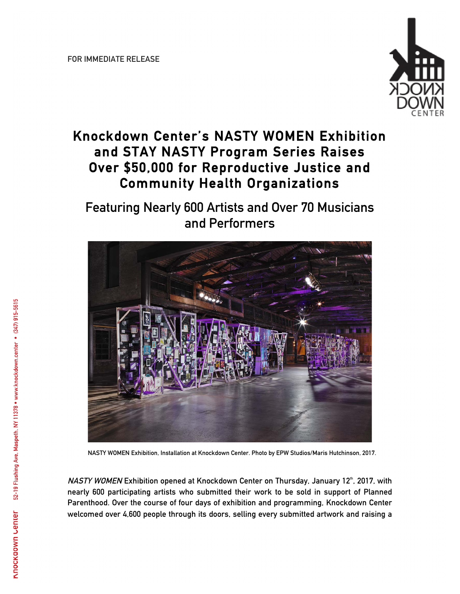

## **Knockdown Center's NASTY WOMEN Exhibition and STAY NASTY Program Series Raises Over \$50,000 for Reproductive Justice and Community Health Organizations**

## **Featuring Nearly 600 Artists and Over 70 Musicians and Performers**



**NASTY WOMEN Exhibition, Installation at Knockdown Center. Photo by EPW Studios/Maris Hutchinson, 2017.**

**NASTY WOMEN Exhibition opened at Knockdown Center on Thursday, January 12<sup>th</sup>, 2017, with nearly 600 participating artists who submitted their work to be sold in support of Planned Parenthood. Over the course of four days of exhibition and programming, Knockdown Center welcomed over 4,600 people through its doors, selling every submitted artwork and raising a**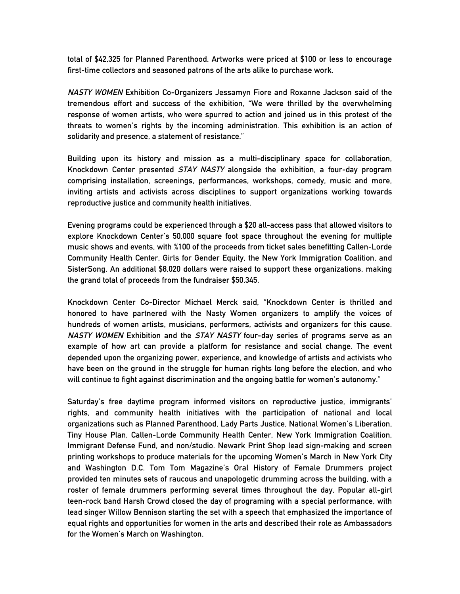**total of \$42,325 for Planned Parenthood. Artworks were priced at \$100 or less to encourage first-time collectors and seasoned patrons of the arts alike to purchase work.**

**NASTY WOMEN Exhibition Co-Organizers Jessamyn Fiore and Roxanne Jackson said of the tremendous effort and success of the exhibition, "We were thrilled by the overwhelming response of women artists, who were spurred to action and joined us in this protest of the threats to women's rights by the incoming administration. This exhibition is an action of solidarity and presence, a statement of resistance."** 

**Building upon its history and mission as a multi-disciplinary space for collaboration, Knockdown Center presented STAY NASTY alongside the exhibition, a four-day program comprising installation, screenings, performances, workshops, comedy, music and more, inviting artists and activists across disciplines to support organizations working towards reproductive justice and community health initiatives.**

**Evening programs could be experienced through a \$20 all-access pass that allowed visitors to explore Knockdown Center's 50,000 square foot space throughout the evening for multiple music shows and events, with %100 of the proceeds from ticket sales benefitting Callen-Lorde Community Health Center, Girls for Gender Equity, the New York Immigration Coalition, and SisterSong. An additional \$8,020 dollars were raised to support these organizations, making the grand total of proceeds from the fundraiser \$50,345.**

**Knockdown Center Co-Director Michael Merck said, "Knockdown Center is thrilled and honored to have partnered with the Nasty Women organizers to amplify the voices of hundreds of women artists, musicians, performers, activists and organizers for this cause. NASTY WOMEN Exhibition and the STAY NASTY four-day series of programs serve as an example of how art can provide a platform for resistance and social change. The event depended upon the organizing power, experience, and knowledge of artists and activists who have been on the ground in the struggle for human rights long before the election, and who will continue to fight against discrimination and the ongoing battle for women's autonomy."**

**Saturday's free daytime program informed visitors on reproductive justice, immigrants' rights, and community health initiatives with the participation of national and local organizations such as Planned Parenthood, Lady Parts Justice, National Women's Liberation, Tiny House Plan, Callen-Lorde Community Health Center, New York Immigration Coalition, Immigrant Defense Fund, and non/studio. Newark Print Shop lead sign-making and screen printing workshops to produce materials for the upcoming Women's March in New York City and Washington D.C. Tom Tom Magazine's Oral History of Female Drummers project provided ten minutes sets of raucous and unapologetic drumming across the building, with a roster of female drummers performing several times throughout the day. Popular all-girl teen-rock band Harsh Crowd closed the day of programing with a special performance, with lead singer Willow Bennison starting the set with a speech that emphasized the importance of equal rights and opportunities for women in the arts and described their role as Ambassadors for the Women's March on Washington.**